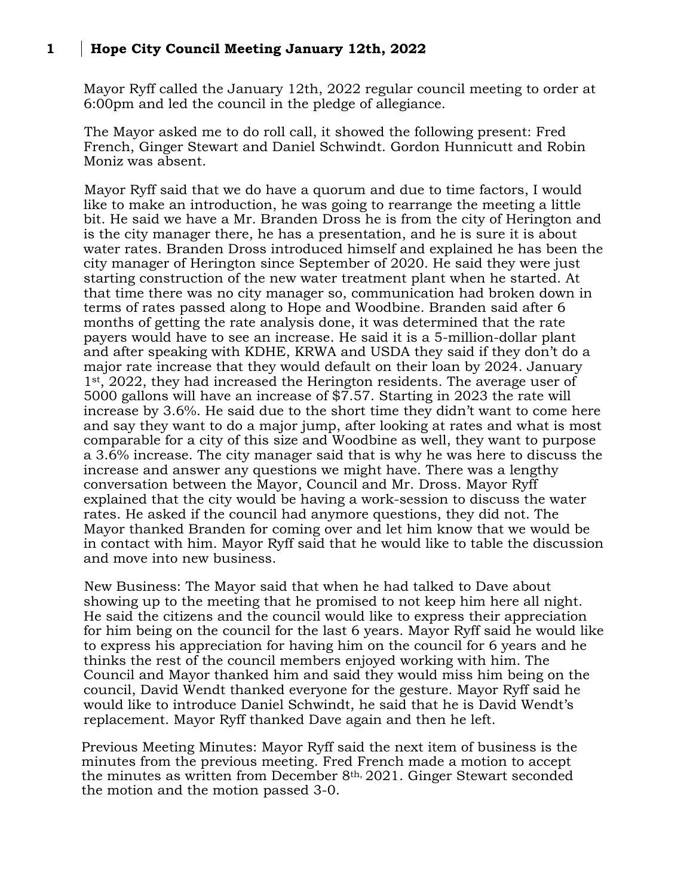## **1 Hope City Council Meeting January 12th, 2022**

Mayor Ryff called the January 12th, 2022 regular council meeting to order at 6:00pm and led the council in the pledge of allegiance.

The Mayor asked me to do roll call, it showed the following present: Fred French, Ginger Stewart and Daniel Schwindt. Gordon Hunnicutt and Robin Moniz was absent.

Mayor Ryff said that we do have a quorum and due to time factors, I would like to make an introduction, he was going to rearrange the meeting a little bit. He said we have a Mr. Branden Dross he is from the city of Herington and is the city manager there, he has a presentation, and he is sure it is about water rates. Branden Dross introduced himself and explained he has been the city manager of Herington since September of 2020. He said they were just starting construction of the new water treatment plant when he started. At that time there was no city manager so, communication had broken down in terms of rates passed along to Hope and Woodbine. Branden said after 6 months of getting the rate analysis done, it was determined that the rate payers would have to see an increase. He said it is a 5-million-dollar plant and after speaking with KDHE, KRWA and USDA they said if they don't do a major rate increase that they would default on their loan by 2024. January 1<sup>st</sup>, 2022, they had increased the Herington residents. The average user of 5000 gallons will have an increase of \$7.57. Starting in 2023 the rate will increase by 3.6%. He said due to the short time they didn't want to come here and say they want to do a major jump, after looking at rates and what is most comparable for a city of this size and Woodbine as well, they want to purpose a 3.6% increase. The city manager said that is why he was here to discuss the increase and answer any questions we might have. There was a lengthy conversation between the Mayor, Council and Mr. Dross. Mayor Ryff explained that the city would be having a work-session to discuss the water rates. He asked if the council had anymore questions, they did not. The Mayor thanked Branden for coming over and let him know that we would be in contact with him. Mayor Ryff said that he would like to table the discussion and move into new business.

New Business: The Mayor said that when he had talked to Dave about showing up to the meeting that he promised to not keep him here all night. He said the citizens and the council would like to express their appreciation for him being on the council for the last 6 years. Mayor Ryff said he would like to express his appreciation for having him on the council for 6 years and he thinks the rest of the council members enjoyed working with him. The Council and Mayor thanked him and said they would miss him being on the council, David Wendt thanked everyone for the gesture. Mayor Ryff said he would like to introduce Daniel Schwindt, he said that he is David Wendt's replacement. Mayor Ryff thanked Dave again and then he left.

Previous Meeting Minutes: Mayor Ryff said the next item of business is the minutes from the previous meeting. Fred French made a motion to accept the minutes as written from December 8th, 2021. Ginger Stewart seconded the motion and the motion passed 3-0.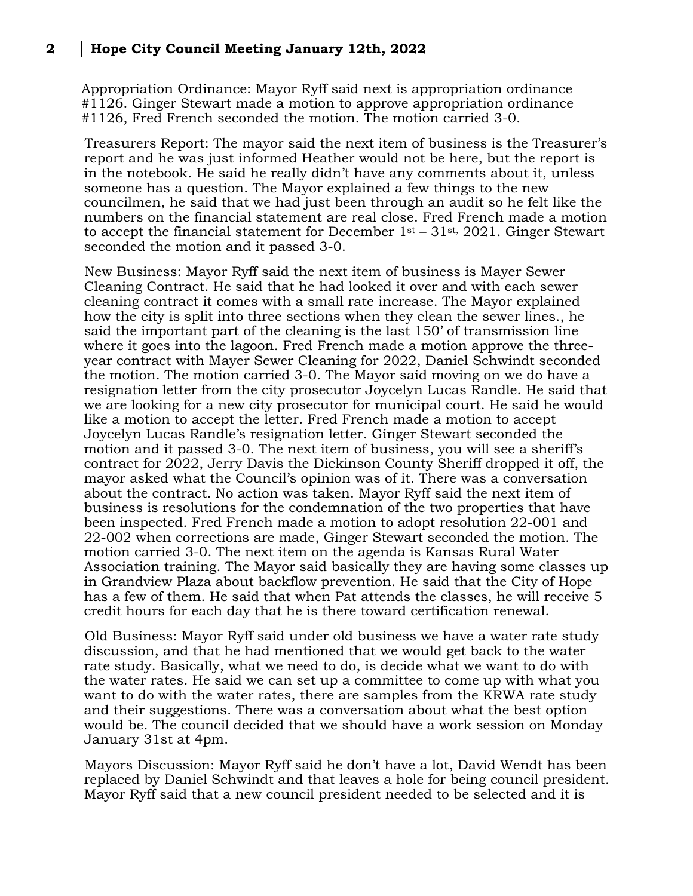## **2 Hope City Council Meeting January 12th, 2022**

Appropriation Ordinance: Mayor Ryff said next is appropriation ordinance #1126. Ginger Stewart made a motion to approve appropriation ordinance #1126, Fred French seconded the motion. The motion carried 3-0.

Treasurers Report: The mayor said the next item of business is the Treasurer's report and he was just informed Heather would not be here, but the report is in the notebook. He said he really didn't have any comments about it, unless someone has a question. The Mayor explained a few things to the new councilmen, he said that we had just been through an audit so he felt like the numbers on the financial statement are real close. Fred French made a motion to accept the financial statement for December  $1<sup>st</sup> - 31<sup>st</sup>$ , 2021. Ginger Stewart seconded the motion and it passed 3-0.

New Business: Mayor Ryff said the next item of business is Mayer Sewer Cleaning Contract. He said that he had looked it over and with each sewer cleaning contract it comes with a small rate increase. The Mayor explained how the city is split into three sections when they clean the sewer lines., he said the important part of the cleaning is the last 150' of transmission line where it goes into the lagoon. Fred French made a motion approve the threeyear contract with Mayer Sewer Cleaning for 2022, Daniel Schwindt seconded the motion. The motion carried 3-0. The Mayor said moving on we do have a resignation letter from the city prosecutor Joycelyn Lucas Randle. He said that we are looking for a new city prosecutor for municipal court. He said he would like a motion to accept the letter. Fred French made a motion to accept Joycelyn Lucas Randle's resignation letter. Ginger Stewart seconded the motion and it passed 3-0. The next item of business, you will see a sheriff's contract for 2022, Jerry Davis the Dickinson County Sheriff dropped it off, the mayor asked what the Council's opinion was of it. There was a conversation about the contract. No action was taken. Mayor Ryff said the next item of business is resolutions for the condemnation of the two properties that have been inspected. Fred French made a motion to adopt resolution 22-001 and 22-002 when corrections are made, Ginger Stewart seconded the motion. The motion carried 3-0. The next item on the agenda is Kansas Rural Water Association training. The Mayor said basically they are having some classes up in Grandview Plaza about backflow prevention. He said that the City of Hope has a few of them. He said that when Pat attends the classes, he will receive 5 credit hours for each day that he is there toward certification renewal.

Old Business: Mayor Ryff said under old business we have a water rate study discussion, and that he had mentioned that we would get back to the water rate study. Basically, what we need to do, is decide what we want to do with the water rates. He said we can set up a committee to come up with what you want to do with the water rates, there are samples from the KRWA rate study and their suggestions. There was a conversation about what the best option would be. The council decided that we should have a work session on Monday January 31st at 4pm.

Mayors Discussion: Mayor Ryff said he don't have a lot, David Wendt has been replaced by Daniel Schwindt and that leaves a hole for being council president. Mayor Ryff said that a new council president needed to be selected and it is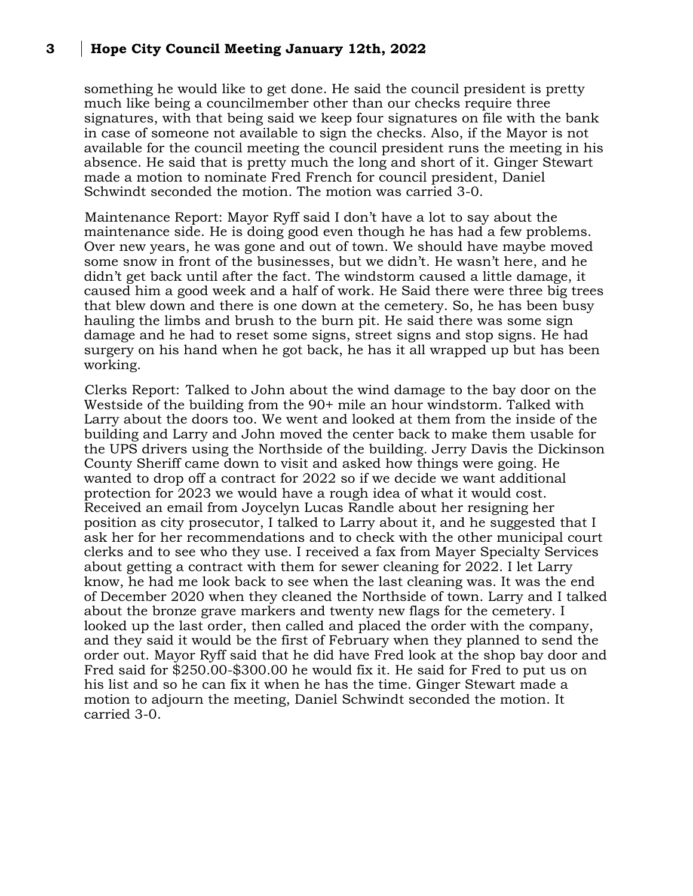## **3 Hope City Council Meeting January 12th, 2022**

something he would like to get done. He said the council president is pretty much like being a councilmember other than our checks require three signatures, with that being said we keep four signatures on file with the bank in case of someone not available to sign the checks. Also, if the Mayor is not available for the council meeting the council president runs the meeting in his absence. He said that is pretty much the long and short of it. Ginger Stewart made a motion to nominate Fred French for council president, Daniel Schwindt seconded the motion. The motion was carried 3-0.

Maintenance Report: Mayor Ryff said I don't have a lot to say about the maintenance side. He is doing good even though he has had a few problems. Over new years, he was gone and out of town. We should have maybe moved some snow in front of the businesses, but we didn't. He wasn't here, and he didn't get back until after the fact. The windstorm caused a little damage, it caused him a good week and a half of work. He Said there were three big trees that blew down and there is one down at the cemetery. So, he has been busy hauling the limbs and brush to the burn pit. He said there was some sign damage and he had to reset some signs, street signs and stop signs. He had surgery on his hand when he got back, he has it all wrapped up but has been working.

Clerks Report: Talked to John about the wind damage to the bay door on the Westside of the building from the 90+ mile an hour windstorm. Talked with Larry about the doors too. We went and looked at them from the inside of the building and Larry and John moved the center back to make them usable for the UPS drivers using the Northside of the building. Jerry Davis the Dickinson County Sheriff came down to visit and asked how things were going. He wanted to drop off a contract for 2022 so if we decide we want additional protection for 2023 we would have a rough idea of what it would cost. Received an email from Joycelyn Lucas Randle about her resigning her position as city prosecutor, I talked to Larry about it, and he suggested that I ask her for her recommendations and to check with the other municipal court clerks and to see who they use. I received a fax from Mayer Specialty Services about getting a contract with them for sewer cleaning for 2022. I let Larry know, he had me look back to see when the last cleaning was. It was the end of December 2020 when they cleaned the Northside of town. Larry and I talked about the bronze grave markers and twenty new flags for the cemetery. I looked up the last order, then called and placed the order with the company, and they said it would be the first of February when they planned to send the order out. Mayor Ryff said that he did have Fred look at the shop bay door and Fred said for \$250.00-\$300.00 he would fix it. He said for Fred to put us on his list and so he can fix it when he has the time. Ginger Stewart made a motion to adjourn the meeting, Daniel Schwindt seconded the motion. It carried 3-0.